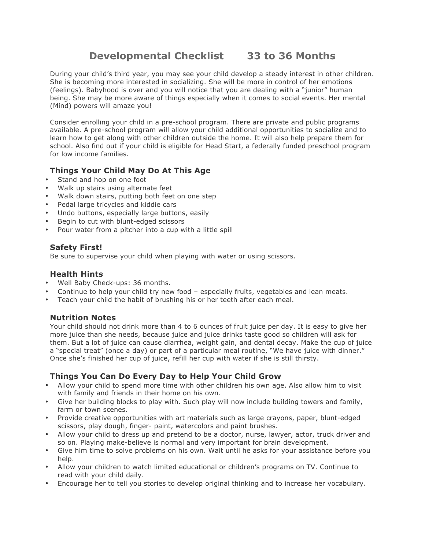# **Developmental Checklist 33 to 36 Months**

During your child's third year, you may see your child develop a steady interest in other children. She is becoming more interested in socializing. She will be more in control of her emotions (feelings). Babyhood is over and you will notice that you are dealing with a "junior" human being. She may be more aware of things especially when it comes to social events. Her mental (Mind) powers will amaze you!

Consider enrolling your child in a pre-school program. There are private and public programs available. A pre-school program will allow your child additional opportunities to socialize and to learn how to get along with other children outside the home. It will also help prepare them for school. Also find out if your child is eligible for Head Start, a federally funded preschool program for low income families.

# **Things Your Child May Do At This Age**

- Stand and hop on one foot
- Walk up stairs using alternate feet
- Walk down stairs, putting both feet on one step
- Pedal large tricycles and kiddie cars
- Undo buttons, especially large buttons, easily
- Begin to cut with blunt-edged scissors
- Pour water from a pitcher into a cup with a little spill

# **Safety First!**

Be sure to supervise your child when playing with water or using scissors.

#### **Health Hints**

- Well Baby Check-ups: 36 months.
- Continue to help your child try new food especially fruits, vegetables and lean meats.
- Teach your child the habit of brushing his or her teeth after each meal.

## **Nutrition Notes**

Your child should not drink more than 4 to 6 ounces of fruit juice per day. It is easy to give her more juice than she needs, because juice and juice drinks taste good so children will ask for them. But a lot of juice can cause diarrhea, weight gain, and dental decay. Make the cup of juice a "special treat" (once a day) or part of a particular meal routine, "We have juice with dinner." Once she's finished her cup of juice, refill her cup with water if she is still thirsty.

## **Things You Can Do Every Day to Help Your Child Grow**

- Allow your child to spend more time with other children his own age. Also allow him to visit with family and friends in their home on his own.
- Give her building blocks to play with. Such play will now include building towers and family, farm or town scenes.
- Provide creative opportunities with art materials such as large crayons, paper, blunt-edged scissors, play dough, finger- paint, watercolors and paint brushes.
- Allow your child to dress up and pretend to be a doctor, nurse, lawyer, actor, truck driver and so on. Playing make-believe is normal and very important for brain development.
- Give him time to solve problems on his own. Wait until he asks for your assistance before you help.
- Allow your children to watch limited educational or children's programs on TV. Continue to read with your child daily.
- Encourage her to tell you stories to develop original thinking and to increase her vocabulary.